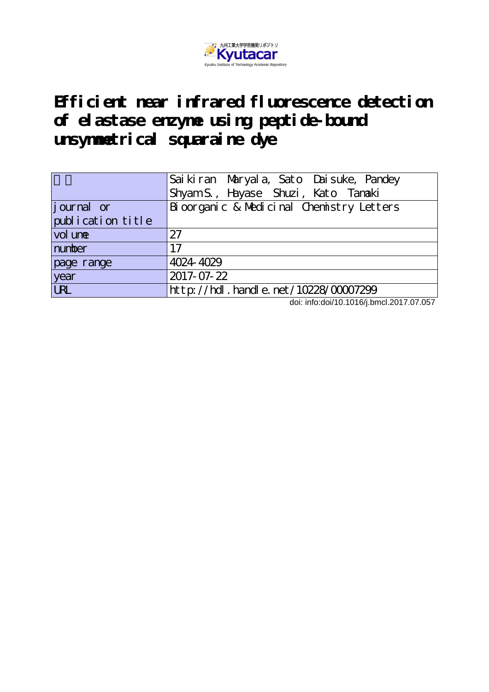

**Efficient near infrared fluorescence detection of elastase enzyme using peptide-bound unsymmetrical squaraine dye**

|                   | Sai ki ran Maryal a, Sato Dai suke, Pandey<br>Shyam S., Hayase Shuzi, Kato Tanaki |  |  |  |  |  |
|-------------------|-----------------------------------------------------------------------------------|--|--|--|--|--|
| journal or        | Bioorganic & Medicinal Chemistry Letters                                          |  |  |  |  |  |
| publication title |                                                                                   |  |  |  |  |  |
| vol une           | 27                                                                                |  |  |  |  |  |
| number            | 17                                                                                |  |  |  |  |  |
| page range        | 4024-4029                                                                         |  |  |  |  |  |
| year              | 2017-07-22                                                                        |  |  |  |  |  |
| <b>URL</b>        | $ht$ p: $//$ hdl. handle. net $/10228/00007299$                                   |  |  |  |  |  |

doi: info:doi/10.1016/j.bmcl.2017.07.057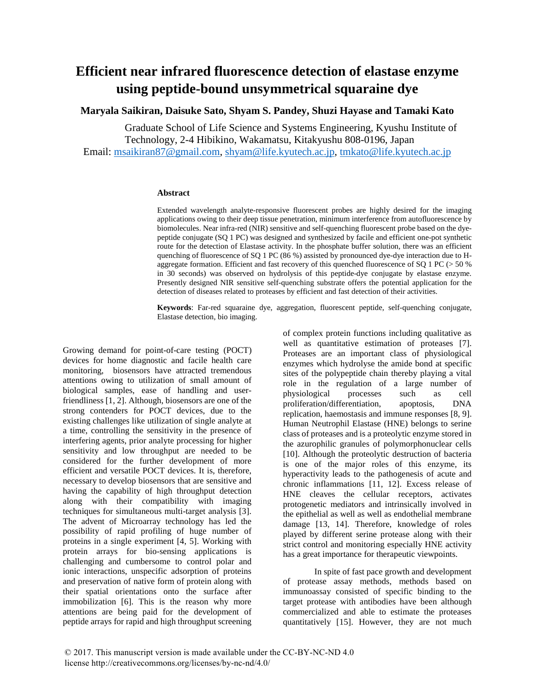## **Efficient near infrared fluorescence detection of elastase enzyme using peptide-bound unsymmetrical squaraine dye**

## **Maryala Saikiran, Daisuke Sato, Shyam S. Pandey, Shuzi Hayase and Tamaki Kato**

Graduate School of Life Science and Systems Engineering, Kyushu Institute of Technology, 2-4 Hibikino, Wakamatsu, Kitakyushu 808-0196, Japan Email: [msaikiran87@gmail.com,](mailto:msaikiran87@gmail.com) [shyam@life.kyutech.ac.jp,](mailto:shyam@life.kyutech.ac.jp) [tmkato@life.kyutech.ac.jp](mailto:tmkato@life.kyutech.ac.jp)

## **Abstract**

Extended wavelength analyte-responsive fluorescent probes are highly desired for the imaging applications owing to their deep tissue penetration, minimum interference from autofluorescence by biomolecules. Near infra-red (NIR) sensitive and self-quenching fluorescent probe based on the dyepeptide conjugate (SQ 1 PC) was designed and synthesized by facile and efficient one-pot synthetic route for the detection of Elastase activity. In the phosphate buffer solution, there was an efficient quenching of fluorescence of SQ 1 PC (86 %) assisted by pronounced dye-dye interaction due to Haggregate formation. Efficient and fast recovery of this quenched fluorescence of SQ 1 PC (> 50 % in 30 seconds) was observed on hydrolysis of this peptide-dye conjugate by elastase enzyme. Presently designed NIR sensitive self-quenching substrate offers the potential application for the detection of diseases related to proteases by efficient and fast detection of their activities.

**Keywords**: Far-red squaraine dye, aggregation, fluorescent peptide, self-quenching conjugate, Elastase detection, bio imaging.

Growing demand for point-of-care testing (POCT) devices for home diagnostic and facile health care monitoring, biosensors have attracted tremendous attentions owing to utilization of small amount of biological samples, ease of handling and userfriendliness [1, 2]. Although, biosensors are one of the strong contenders for POCT devices, due to the existing challenges like utilization of single analyte at a time, controlling the sensitivity in the presence of interfering agents, prior analyte processing for higher sensitivity and low throughput are needed to be considered for the further development of more efficient and versatile POCT devices. It is, therefore, necessary to develop biosensors that are sensitive and having the capability of high throughput detection along with their compatibility with imaging techniques for simultaneous multi-target analysis [3]. The advent of Microarray technology has led the possibility of rapid profiling of huge number of proteins in a single experiment [4, 5]. Working with protein arrays for bio-sensing applications is challenging and cumbersome to control polar and ionic interactions, unspecific adsorption of proteins and preservation of native form of protein along with their spatial orientations onto the surface after immobilization [6]. This is the reason why more attentions are being paid for the development of peptide arrays for rapid and high throughput screening

of complex protein functions including qualitative as well as quantitative estimation of proteases [7]. Proteases are an important class of physiological enzymes which hydrolyse the amide bond at specific sites of the polypeptide chain thereby playing a vital role in the regulation of a large number of physiological processes such as cell physiological processes such as cell proliferation/differentiation, apoptosis, DNA replication, haemostasis and immune responses [8, 9]. Human Neutrophil Elastase (HNE) belongs to serine class of proteases and is a proteolytic enzyme stored in the azurophilic granules of polymorphonuclear cells [10]. Although the proteolytic destruction of bacteria is one of the major roles of this enzyme, its hyperactivity leads to the pathogenesis of acute and chronic inflammations [11, 12]. Excess release of HNE cleaves the cellular receptors, activates protogenetic mediators and intrinsically involved in the epithelial as well as well as endothelial membrane damage [13, 14]. Therefore, knowledge of roles played by different serine protease along with their strict control and monitoring especially HNE activity has a great importance for therapeutic viewpoints.

In spite of fast pace growth and development of protease assay methods, methods based on immunoassay consisted of specific binding to the target protease with antibodies have been although commercialized and able to estimate the proteases quantitatively [15]. However, they are not much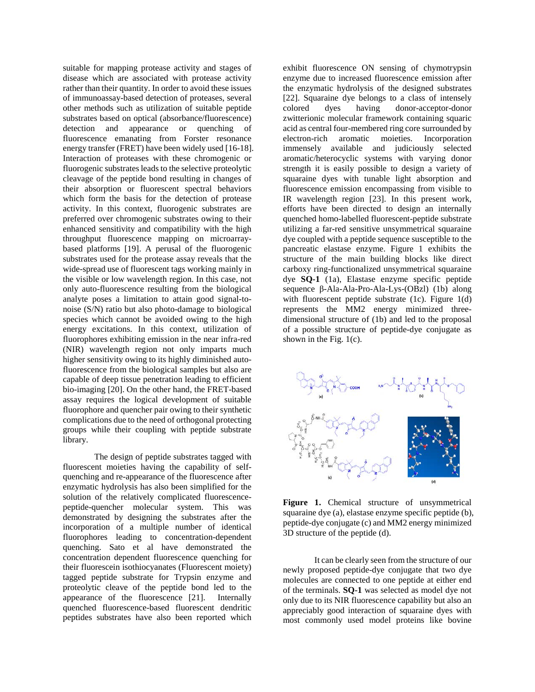suitable for mapping protease activity and stages of disease which are associated with protease activity rather than their quantity. In order to avoid these issues of immunoassay-based detection of proteases, several other methods such as utilization of suitable peptide substrates based on optical (absorbance/fluorescence) detection and appearance or quenching of fluorescence emanating from Forster resonance energy transfer (FRET) have been widely used [16-18]. Interaction of proteases with these chromogenic or fluorogenic substrates leads to the selective proteolytic cleavage of the peptide bond resulting in changes of their absorption or fluorescent spectral behaviors which form the basis for the detection of protease activity. In this context, fluorogenic substrates are preferred over chromogenic substrates owing to their enhanced sensitivity and compatibility with the high throughput fluorescence mapping on microarraybased platforms [19]. A perusal of the fluorogenic substrates used for the protease assay reveals that the wide-spread use of fluorescent tags working mainly in the visible or low wavelength region. In this case, not only auto-fluorescence resulting from the biological analyte poses a limitation to attain good signal-tonoise (S/N) ratio but also photo-damage to biological species which cannot be avoided owing to the high energy excitations. In this context, utilization of fluorophores exhibiting emission in the near infra-red (NIR) wavelength region not only imparts much higher sensitivity owing to its highly diminished autofluorescence from the biological samples but also are capable of deep tissue penetration leading to efficient bio-imaging [20]. On the other hand, the FRET-based assay requires the logical development of suitable fluorophore and quencher pair owing to their synthetic complications due to the need of orthogonal protecting groups while their coupling with peptide substrate library.

The design of peptide substrates tagged with fluorescent moieties having the capability of selfquenching and re-appearance of the fluorescence after enzymatic hydrolysis has also been simplified for the solution of the relatively complicated fluorescencepeptide-quencher molecular system. This was demonstrated by designing the substrates after the incorporation of a multiple number of identical fluorophores leading to concentration-dependent quenching. Sato et al have demonstrated the concentration dependent fluorescence quenching for their fluorescein isothiocyanates (Fluorescent moiety) tagged peptide substrate for Trypsin enzyme and proteolytic cleave of the peptide bond led to the appearance of the fluorescence [21]. Internally quenched fluorescence-based fluorescent dendritic peptides substrates have also been reported which

exhibit fluorescence ON sensing of chymotrypsin enzyme due to increased fluorescence emission after the enzymatic hydrolysis of the designed substrates [22]. Squaraine dye belongs to a class of intensely colored dyes having donor-acceptor-donor zwitterionic molecular framework containing squaric acid as central four-membered ring core surrounded by electron-rich aromatic moieties. Incorporation immensely available and judiciously selected aromatic/heterocyclic systems with varying donor strength it is easily possible to design a variety of squaraine dyes with tunable light absorption and fluorescence emission encompassing from visible to IR wavelength region [23]. In this present work, efforts have been directed to design an internally quenched homo-labelled fluorescent-peptide substrate utilizing a far-red sensitive unsymmetrical squaraine dye coupled with a peptide sequence susceptible to the pancreatic elastase enzyme. Figure 1 exhibits the structure of the main building blocks like direct carboxy ring-functionalized unsymmetrical squaraine dye **SQ-1** (1a), Elastase enzyme specific peptide sequence β-Ala-Ala-Pro-Ala-Lys-(OBzl) (1b) along with fluorescent peptide substrate (1c). Figure 1(d) represents the MM2 energy minimized threedimensional structure of (1b) and led to the proposal of a possible structure of peptide-dye conjugate as shown in the Fig.  $1(c)$ .



**Figure 1.** Chemical structure of unsymmetrical squaraine dye (a), elastase enzyme specific peptide (b), peptide-dye conjugate (c) and MM2 energy minimized 3D structure of the peptide (d).

It can be clearly seen from the structure of our newly proposed peptide-dye conjugate that two dye molecules are connected to one peptide at either end of the terminals. **SQ-1** was selected as model dye not only due to its NIR fluorescence capability but also an appreciably good interaction of squaraine dyes with most commonly used model proteins like bovine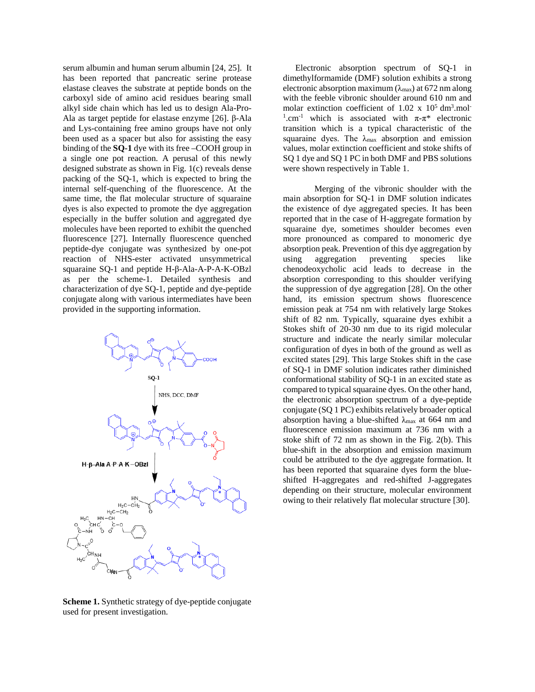serum albumin and human serum albumin [24, 25]. It has been reported that pancreatic serine protease elastase cleaves the substrate at peptide bonds on the carboxyl side of amino acid residues bearing small alkyl side chain which has led us to design Ala-Pro-Ala as target peptide for elastase enzyme [26]. β-Ala and Lys-containing free amino groups have not only been used as a spacer but also for assisting the easy binding of the **SQ-1** dye with its free –COOH group in a single one pot reaction. A perusal of this newly designed substrate as shown in Fig. 1(c) reveals dense packing of the SQ-1, which is expected to bring the internal self-quenching of the fluorescence. At the same time, the flat molecular structure of squaraine dyes is also expected to promote the dye aggregation especially in the buffer solution and aggregated dye molecules have been reported to exhibit the quenched fluorescence [27]. Internally fluorescence quenched peptide-dye conjugate was synthesized by one-pot reaction of NHS-ester activated unsymmetrical squaraine SQ-1 and peptide H-β-Ala-A-P-A-K-OBzl as per the scheme-1. Detailed synthesis and characterization of dye SQ-1, peptide and dye-peptide conjugate along with various intermediates have been provided in the supporting information.



Electronic absorption spectrum of SQ-1 in dimethylformamide (DMF) solution exhibits a strong electronic absorption maximum ( $\lambda_{\text{max}}$ ) at 672 nm along with the feeble vibronic shoulder around 610 nm and molar extinction coefficient of  $1.02 \times 10^5$  dm<sup>3</sup>.mol<sup>-</sup> <sup>1</sup>.cm<sup>-1</sup> which is associated with  $\pi$ - $\pi$ <sup>\*</sup> electronic transition which is a typical characteristic of the squaraine dyes. The  $\lambda_{\text{max}}$  absorption and emission values, molar extinction coefficient and stoke shifts of SQ 1 dye and SQ 1 PC in both DMF and PBS solutions were shown respectively in Table 1.

Merging of the vibronic shoulder with the main absorption for SQ-1 in DMF solution indicates the existence of dye aggregated species. It has been reported that in the case of H-aggregate formation by squaraine dye, sometimes shoulder becomes even more pronounced as compared to monomeric dye absorption peak. Prevention of this dye aggregation by using aggregation preventing species like chenodeoxycholic acid leads to decrease in the absorption corresponding to this shoulder verifying the suppression of dye aggregation [28]. On the other hand, its emission spectrum shows fluorescence emission peak at 754 nm with relatively large Stokes shift of 82 nm. Typically, squaraine dyes exhibit a Stokes shift of 20-30 nm due to its rigid molecular structure and indicate the nearly similar molecular configuration of dyes in both of the ground as well as excited states [29]. This large Stokes shift in the case of SQ-1 in DMF solution indicates rather diminished conformational stability of SQ-1 in an excited state as compared to typical squaraine dyes. On the other hand, the electronic absorption spectrum of a dye-peptide conjugate (SQ 1 PC) exhibits relatively broader optical absorption having a blue-shifted  $\lambda_{\text{max}}$  at 664 nm and fluorescence emission maximum at 736 nm with a stoke shift of 72 nm as shown in the Fig. 2(b). This blue-shift in the absorption and emission maximum could be attributed to the dye aggregate formation. It has been reported that squaraine dyes form the blueshifted H-aggregates and red-shifted J-aggregates depending on their structure, molecular environment owing to their relatively flat molecular structure [30].

**Scheme 1.** Synthetic strategy of dye-peptide conjugate used for present investigation.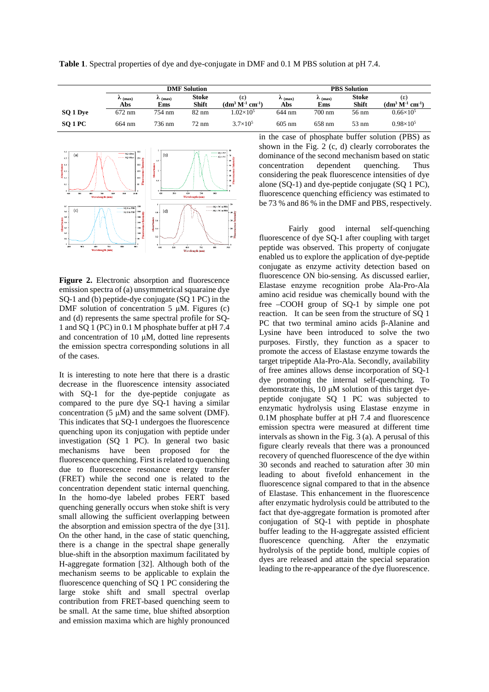**Table 1**. Spectral properties of dye and dye-conjugate in DMF and 0.1 M PBS solution at pH 7.4.

|          | <b>DMF</b> Solution        |                            |                       |                         | <b>PBS</b> Solution        |                     |                              |                                         |
|----------|----------------------------|----------------------------|-----------------------|-------------------------|----------------------------|---------------------|------------------------------|-----------------------------------------|
|          | $\mathcal{L}$ (max)<br>Abs | $\mathcal{L}$ (max)<br>Ems | <b>Stoke</b><br>Shift | (ε)<br>$(dm3 M-1 cm-1)$ | $\mathcal{L}$ (max)<br>Abs | $\sim$ (max)<br>Ems | <b>Stoke</b><br><b>Shift</b> | (ε)<br>$(\mathbf{dm^{3}~M^{1}~cm^{1}})$ |
| SQ 1 Dye | 672 nm                     | 754 nm                     | $82 \text{ nm}$       | $1.02\times10^5$        | 644 nm                     | $700 \text{ nm}$    | $56 \text{ nm}$              | $0.66\times10^{5}$                      |
| SO 1 PC  | 664 nm                     | 736 nm                     | 72 nm                 | $3.7\times10^{5}$       | $605 \text{ nm}$           | 658 nm              | $53 \text{ nm}$              | $0.98\times10^{5}$                      |



**Figure 2.** Electronic absorption and fluorescence emission spectra of (a) unsymmetrical squaraine dye SQ-1 and (b) peptide-dye conjugate (SQ 1 PC) in the DMF solution of concentration 5  $\mu$ M. Figures (c) and (d) represents the same spectral profile for SQ-1 and SQ 1 (PC) in 0.1 M phosphate buffer at pH 7.4 and concentration of 10  $\mu$ M, dotted line represents the emission spectra corresponding solutions in all of the cases.

It is interesting to note here that there is a drastic decrease in the fluorescence intensity associated with SQ-1 for the dye-peptide conjugate as compared to the pure dye SQ-1 having a similar concentration (5 μM) and the same solvent (DMF). This indicates that SQ-1 undergoes the fluorescence quenching upon its conjugation with peptide under investigation (SQ 1 PC). In general two basic mechanisms have been proposed for the fluorescence quenching. First is related to quenching due to fluorescence resonance energy transfer (FRET) while the second one is related to the concentration dependent static internal quenching. In the homo-dye labeled probes FERT based quenching generally occurs when stoke shift is very small allowing the sufficient overlapping between the absorption and emission spectra of the dye [31]. On the other hand, in the case of static quenching, there is a change in the spectral shape generally blue-shift in the absorption maximum facilitated by H-aggregate formation [32]. Although both of the mechanism seems to be applicable to explain the fluorescence quenching of SQ 1 PC considering the large stoke shift and small spectral overlap contribution from FRET-based quenching seem to be small. At the same time, blue shifted absorption and emission maxima which are highly pronounced

in the case of phosphate buffer solution (PBS) as shown in the Fig. 2 (c, d) clearly corroborates the dominance of the second mechanism based on static concentration dependent quenching. Thus considering the peak fluorescence intensities of dye alone (SQ-1) and dye-peptide conjugate (SQ 1 PC), fluorescence quenching efficiency was estimated to be 73 % and 86 % in the DMF and PBS, respectively.

Fairly good internal self-quenching fluorescence of dye SQ-1 after coupling with target peptide was observed. This property of conjugate enabled us to explore the application of dye-peptide conjugate as enzyme activity detection based on fluorescence ON bio-sensing. As discussed earlier, Elastase enzyme recognition probe Ala-Pro-Ala amino acid residue was chemically bound with the free –COOH group of SQ-1 by simple one pot reaction. It can be seen from the structure of SQ 1 PC that two terminal amino acids β-Alanine and Lysine have been introduced to solve the two purposes. Firstly, they function as a spacer to promote the access of Elastase enzyme towards the target tripeptide Ala-Pro-Ala. Secondly, availability of free amines allows dense incorporation of SQ-1 dye promoting the internal self-quenching. To demonstrate this, 10 μM solution of this target dyepeptide conjugate SQ 1 PC was subjected to enzymatic hydrolysis using Elastase enzyme in 0.1M phosphate buffer at pH 7.4 and fluorescence emission spectra were measured at different time intervals as shown in the Fig. 3 (a). A perusal of this figure clearly reveals that there was a pronounced recovery of quenched fluorescence of the dye within 30 seconds and reached to saturation after 30 min leading to about fivefold enhancement in the fluorescence signal compared to that in the absence of Elastase. This enhancement in the fluorescence after enzymatic hydrolysis could be attributed to the fact that dye-aggregate formation is promoted after conjugation of SQ-1 with peptide in phosphate buffer leading to the H-aggregate assisted efficient fluorescence quenching. After the enzymatic hydrolysis of the peptide bond, multiple copies of dyes are released and attain the special separation leading to the re-appearance of the dye fluorescence.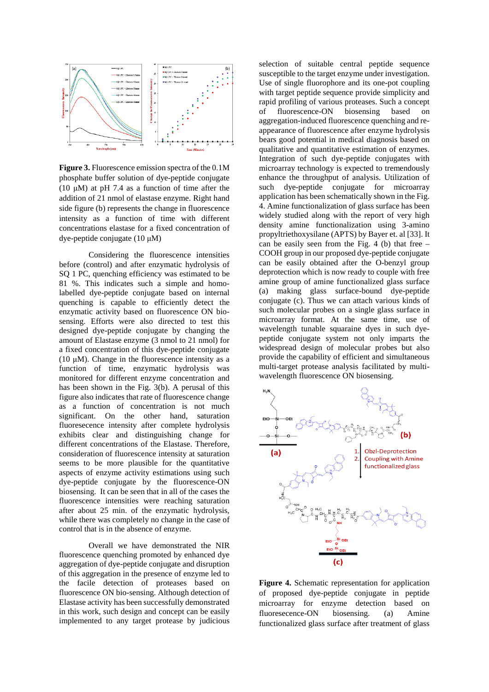

**Figure 3.** Fluorescence emission spectra of the 0.1M phosphate buffer solution of dye-peptide conjugate (10  $\mu$ M) at pH 7.4 as a function of time after the addition of 21 nmol of elastase enzyme. Right hand side figure (b) represents the change in fluorescence intensity as a function of time with different concentrations elastase for a fixed concentration of dye-peptide conjugate (10 μM)

Considering the fluorescence intensities before (control) and after enzymatic hydrolysis of SQ 1 PC, quenching efficiency was estimated to be 81 %. This indicates such a simple and homolabelled dye-peptide conjugate based on internal quenching is capable to efficiently detect the enzymatic activity based on fluorescence ON biosensing. Efforts were also directed to test this designed dye-peptide conjugate by changing the amount of Elastase enzyme (3 nmol to 21 nmol) for a fixed concentration of this dye-peptide conjugate (10  $\mu$ M). Change in the fluorescence intensity as a function of time, enzymatic hydrolysis was monitored for different enzyme concentration and has been shown in the Fig. 3(b). A perusal of this figure also indicates that rate of fluorescence change as a function of concentration is not much significant. On the other hand, saturation fluoresecence intensity after complete hydrolysis exhibits clear and distinguishing change for different concentrations of the Elastase. Therefore, consideration of fluorescence intensity at saturation seems to be more plausible for the quantitative aspects of enzyme activity estimations using such dye-peptide conjugate by the fluorescence-ON biosensing. It can be seen that in all of the cases the fluorescence intensities were reaching saturation after about 25 min. of the enzymatic hydrolysis, while there was completely no change in the case of control that is in the absence of enzyme.

Overall we have demonstrated the NIR fluorescence quenching promoted by enhanced dye aggregation of dye-peptide conjugate and disruption of this aggregation in the presence of enzyme led to the facile detection of proteases based on fluorescence ON bio-sensing. Although detection of Elastase activity has been successfully demonstrated in this work, such design and concept can be easily implemented to any target protease by judicious

selection of suitable central peptide sequence susceptible to the target enzyme under investigation. Use of single fluorophore and its one-pot coupling with target peptide sequence provide simplicity and rapid profiling of various proteases. Such a concept of fluorescence-ON biosensing based on aggregation-induced fluorescence quenching and reappearance of fluorescence after enzyme hydrolysis bears good potential in medical diagnosis based on qualitative and quantitative estimation of enzymes. Integration of such dye-peptide conjugates with microarray technology is expected to tremendously enhance the throughput of analysis. Utilization of such dye-peptide conjugate for microarray application has been schematically shown in the Fig. 4. Amine functionalization of glass surface has been widely studied along with the report of very high density amine functionalization using 3-amino propyltriethoxysilane (APTS) by Bayer et. al [33]. It can be easily seen from the Fig. 4 (b) that free – COOH group in our proposed dye-peptide conjugate can be easily obtained after the O-benzyl group deprotection which is now ready to couple with free amine group of amine functionalized glass surface (a) making glass surface-bound dye-peptide conjugate (c). Thus we can attach various kinds of such molecular probes on a single glass surface in microarray format. At the same time, use of wavelength tunable squaraine dyes in such dyepeptide conjugate system not only imparts the widespread design of molecular probes but also provide the capability of efficient and simultaneous multi-target protease analysis facilitated by multiwavelength fluorescence ON biosensing.



**Figure 4.** Schematic representation for application of proposed dye-peptide conjugate in peptide microarray for enzyme detection based on fluoresecence-ON biosensing. (a) Amine functionalized glass surface after treatment of glass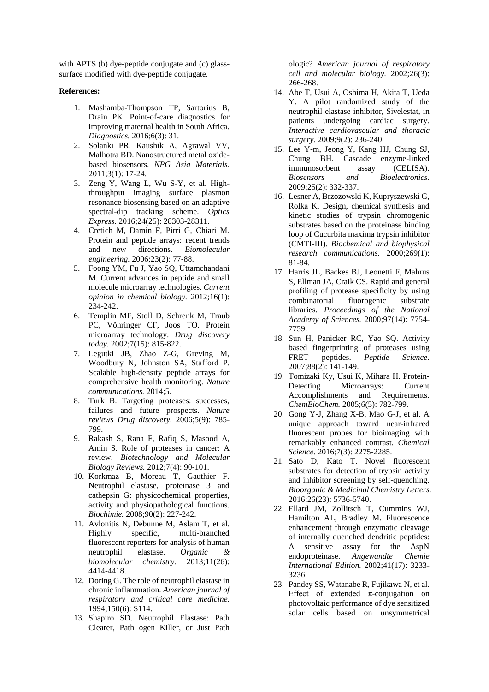with APTS (b) dye-peptide conjugate and (c) glasssurface modified with dye-peptide conjugate.

## **References:**

- 1. Mashamba-Thompson TP, Sartorius B, Drain PK. Point-of-care diagnostics for improving maternal health in South Africa. *Diagnostics.* 2016;6(3): 31.
- 2. Solanki PR, Kaushik A, Agrawal VV, Malhotra BD. Nanostructured metal oxidebased biosensors. *NPG Asia Materials.* 2011;3(1): 17-24.
- 3. Zeng Y, Wang L, Wu S-Y, et al. Highthroughput imaging surface plasmon resonance biosensing based on an adaptive spectral-dip tracking scheme. *Optics Express.* 2016;24(25): 28303-28311.
- 4. Cretich M, Damin F, Pirri G, Chiari M. Protein and peptide arrays: recent trends and new directions. *Biomolecular engineering.* 2006;23(2): 77-88.
- 5. Foong YM, Fu J, Yao SQ, Uttamchandani M. Current advances in peptide and small molecule microarray technologies. *Current opinion in chemical biology.* 2012;16(1): 234-242.
- 6. Templin MF, Stoll D, Schrenk M, Traub PC, Vöhringer CF, Joos TO. Protein microarray technology. *Drug discovery today.* 2002;7(15): 815-822.
- 7. Legutki JB, Zhao Z-G, Greving M, Woodbury N, Johnston SA, Stafford P. Scalable high-density peptide arrays for comprehensive health monitoring. *Nature communications.* 2014;5.
- 8. Turk B. Targeting proteases: successes, failures and future prospects. *Nature reviews Drug discovery.* 2006;5(9): 785- 799.
- 9. Rakash S, Rana F, Rafiq S, Masood A, Amin S. Role of proteases in cancer: A review. *Biotechnology and Molecular Biology Reviews.* 2012;7(4): 90-101.
- 10. Korkmaz B, Moreau T, Gauthier F. Neutrophil elastase, proteinase 3 and cathepsin G: physicochemical properties, activity and physiopathological functions. *Biochimie.* 2008;90(2): 227-242.
- 11. Avlonitis N, Debunne M, Aslam T, et al. Highly specific, multi-branched fluorescent reporters for analysis of human neutrophil elastase. *Organic & biomolecular chemistry.* 2013;11(26): 4414-4418.
- 12. Doring G. The role of neutrophil elastase in chronic inflammation. *American journal of respiratory and critical care medicine.* 1994;150(6): S114.
- 13. Shapiro SD. Neutrophil Elastase: Path Clearer, Path ogen Killer, or Just Path

ologic? *American journal of respiratory cell and molecular biology.* 2002;26(3): 266-268.

- 14. Abe T, Usui A, Oshima H, Akita T, Ueda Y. A pilot randomized study of the neutrophil elastase inhibitor, Sivelestat, in patients undergoing cardiac surgery. *Interactive cardiovascular and thoracic surgery.* 2009;9(2): 236-240.
- 15. Lee Y-m, Jeong Y, Kang HJ, Chung SJ, Chung BH. Cascade enzyme-linked immunosorbent assay (CELISA). *Biosensors and Bioelectronics.* 2009;25(2): 332-337.
- 16. Lesner A, Brzozowski K, Kupryszewski G, Rolka K. Design, chemical synthesis and kinetic studies of trypsin chromogenic substrates based on the proteinase binding loop of Cucurbita maxima trypsin inhibitor (CMTI-III). *Biochemical and biophysical research communications.* 2000;269(1): 81-84.
- 17. Harris JL, Backes BJ, Leonetti F, Mahrus S, Ellman JA, Craik CS. Rapid and general profiling of protease specificity by using combinatorial fluorogenic substrate libraries. *Proceedings of the National Academy of Sciences.* 2000;97(14): 7754- 7759.
- 18. Sun H, Panicker RC, Yao SQ. Activity based fingerprinting of proteases using FRET peptides. *Peptide Science.* 2007;88(2): 141-149.
- 19. Tomizaki Ky, Usui K, Mihara H. Protein-<br>Detecting Microarrays: Current Microarrays: Accomplishments and Requirements. *ChemBioChem.* 2005;6(5): 782-799.
- 20. Gong Y-J, Zhang X-B, Mao G-J, et al. A unique approach toward near-infrared fluorescent probes for bioimaging with remarkably enhanced contrast. *Chemical Science.* 2016;7(3): 2275-2285.
- 21. Sato D, Kato T. Novel fluorescent substrates for detection of trypsin activity and inhibitor screening by self-quenching. *Bioorganic & Medicinal Chemistry Letters.* 2016;26(23): 5736-5740.
- 22. Ellard JM, Zollitsch T, Cummins WJ, Hamilton AL, Bradley M. Fluorescence enhancement through enzymatic cleavage of internally quenched dendritic peptides: A sensitive assay for the AspN endoproteinase. *Angewandte Chemie International Edition.* 2002;41(17): 3233- 3236.
- 23. Pandey SS, Watanabe R, Fujikawa N, et al. Effect of extended  $\pi$ -conjugation on photovoltaic performance of dye sensitized solar cells based on unsymmetrical